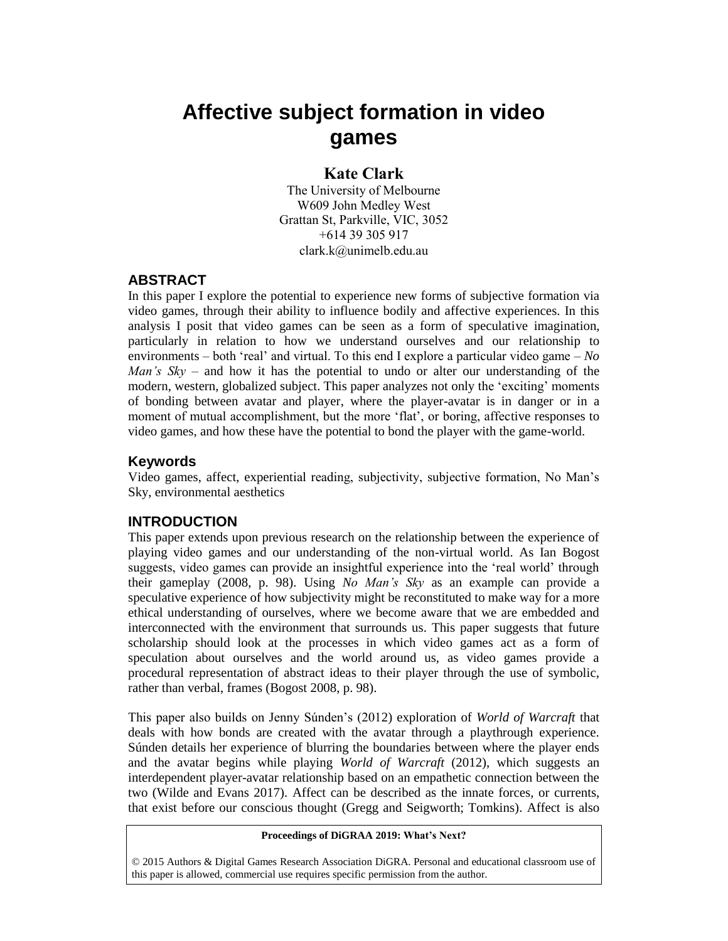# **Affective subject formation in video games**

## **Kate Clark**

The University of Melbourne W609 John Medley West Grattan St, Parkville, VIC, 3052 +614 39 305 917 clark.k@unimelb.edu.au

## **ABSTRACT**

In this paper I explore the potential to experience new forms of subjective formation via video games, through their ability to influence bodily and affective experiences. In this analysis I posit that video games can be seen as a form of speculative imagination, particularly in relation to how we understand ourselves and our relationship to environments – both 'real' and virtual. To this end I explore a particular video game – *No Man's Sky* – and how it has the potential to undo or alter our understanding of the modern, western, globalized subject. This paper analyzes not only the 'exciting' moments of bonding between avatar and player, where the player-avatar is in danger or in a moment of mutual accomplishment, but the more 'flat', or boring, affective responses to video games, and how these have the potential to bond the player with the game-world.

## **Keywords**

Video games, affect, experiential reading, subjectivity, subjective formation, No Man's Sky, environmental aesthetics

## **INTRODUCTION**

This paper extends upon previous research on the relationship between the experience of playing video games and our understanding of the non-virtual world. As Ian Bogost suggests, video games can provide an insightful experience into the 'real world' through their gameplay (2008, p. 98). Using *No Man's Sky* as an example can provide a speculative experience of how subjectivity might be reconstituted to make way for a more ethical understanding of ourselves, where we become aware that we are embedded and interconnected with the environment that surrounds us. This paper suggests that future scholarship should look at the processes in which video games act as a form of speculation about ourselves and the world around us, as video games provide a procedural representation of abstract ideas to their player through the use of symbolic, rather than verbal, frames (Bogost 2008, p. 98).

This paper also builds on Jenny Súnden's (2012) exploration of *World of Warcraft* that deals with how bonds are created with the avatar through a playthrough experience. Súnden details her experience of blurring the boundaries between where the player ends and the avatar begins while playing *World of Warcraft* (2012), which suggests an interdependent player-avatar relationship based on an empathetic connection between the two (Wilde and Evans 2017). Affect can be described as the innate forces, or currents, that exist before our conscious thought (Gregg and Seigworth; Tomkins). Affect is also

#### **Proceedings of DiGRAA 2019: What's Next?**

© 2015 Authors & Digital Games Research Association DiGRA. Personal and educational classroom use of this paper is allowed, commercial use requires specific permission from the author.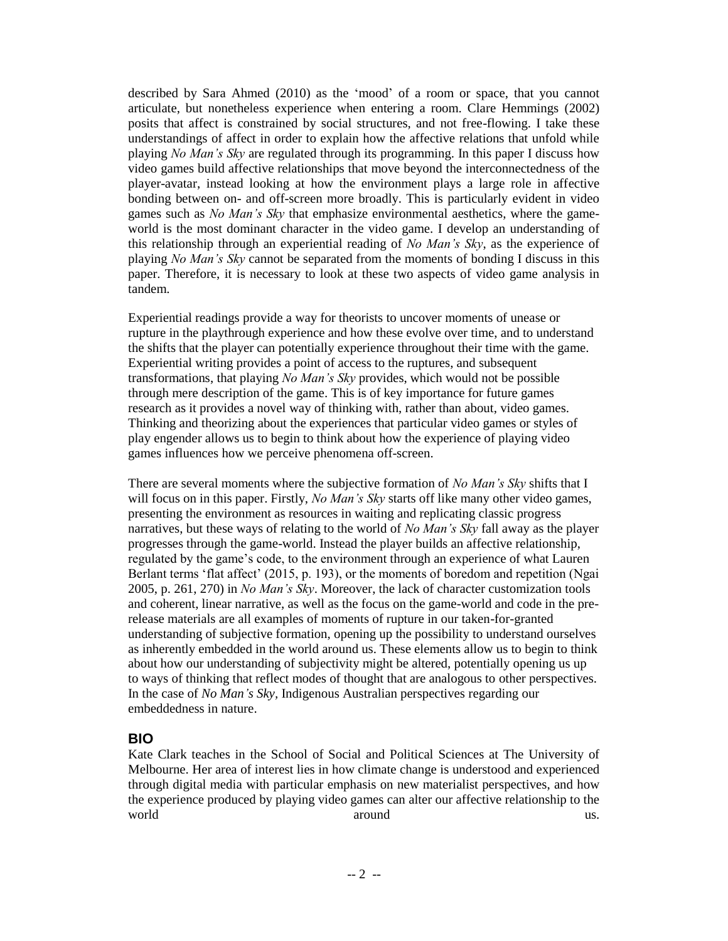described by Sara Ahmed (2010) as the 'mood' of a room or space, that you cannot articulate, but nonetheless experience when entering a room. Clare Hemmings (2002) posits that affect is constrained by social structures, and not free-flowing. I take these understandings of affect in order to explain how the affective relations that unfold while playing *No Man's Sky* are regulated through its programming. In this paper I discuss how video games build affective relationships that move beyond the interconnectedness of the player-avatar, instead looking at how the environment plays a large role in affective bonding between on- and off-screen more broadly. This is particularly evident in video games such as *No Man's Sky* that emphasize environmental aesthetics, where the gameworld is the most dominant character in the video game. I develop an understanding of this relationship through an experiential reading of *No Man's Sky*, as the experience of playing *No Man's Sky* cannot be separated from the moments of bonding I discuss in this paper. Therefore, it is necessary to look at these two aspects of video game analysis in tandem.

Experiential readings provide a way for theorists to uncover moments of unease or rupture in the playthrough experience and how these evolve over time, and to understand the shifts that the player can potentially experience throughout their time with the game. Experiential writing provides a point of access to the ruptures, and subsequent transformations, that playing *No Man's Sky* provides, which would not be possible through mere description of the game. This is of key importance for future games research as it provides a novel way of thinking with, rather than about, video games. Thinking and theorizing about the experiences that particular video games or styles of play engender allows us to begin to think about how the experience of playing video games influences how we perceive phenomena off-screen.

There are several moments where the subjective formation of *No Man's Sky* shifts that I will focus on in this paper. Firstly, *No Man's Sky* starts off like many other video games, presenting the environment as resources in waiting and replicating classic progress narratives, but these ways of relating to the world of *No Man's Sky* fall away as the player progresses through the game-world. Instead the player builds an affective relationship, regulated by the game's code, to the environment through an experience of what Lauren Berlant terms 'flat affect' (2015, p. 193), or the moments of boredom and repetition (Ngai 2005, p. 261, 270) in *No Man's Sky*. Moreover, the lack of character customization tools and coherent, linear narrative, as well as the focus on the game-world and code in the prerelease materials are all examples of moments of rupture in our taken-for-granted understanding of subjective formation, opening up the possibility to understand ourselves as inherently embedded in the world around us. These elements allow us to begin to think about how our understanding of subjectivity might be altered, potentially opening us up to ways of thinking that reflect modes of thought that are analogous to other perspectives. In the case of *No Man's Sky,* Indigenous Australian perspectives regarding our embeddedness in nature.

## **BIO**

Kate Clark teaches in the School of Social and Political Sciences at The University of Melbourne. Her area of interest lies in how climate change is understood and experienced through digital media with particular emphasis on new materialist perspectives, and how the experience produced by playing video games can alter our affective relationship to the world **around** us.